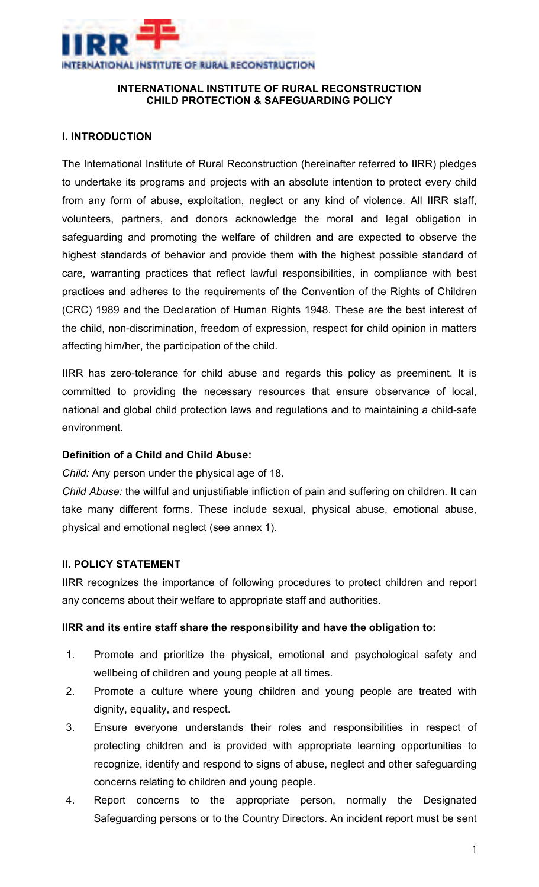

### **INTERNATIONAL INSTITUTE OF RURAL RECONSTRUCTION CHILD PROTECTION & SAFEGUARDING POLICY**

## **I. INTRODUCTION**

The International Institute of Rural Reconstruction (hereinafter referred to IIRR) pledges to undertake its programs and projects with an absolute intention to protect every child from any form of abuse, exploitation, neglect or any kind of violence. All IIRR staff, volunteers, partners, and donors acknowledge the moral and legal obligation in safeguarding and promoting the welfare of children and are expected to observe the highest standards of behavior and provide them with the highest possible standard of care, warranting practices that reflect lawful responsibilities, in compliance with best practices and adheres to the requirements of the Convention of the Rights of Children (CRC) 1989 and the Declaration of Human Rights 1948. These are the best interest of the child, non-discrimination, freedom of expression, respect for child opinion in matters affecting him/her, the participation of the child.

IIRR has zero-tolerance for child abuse and regards this policy as preeminent. It is committed to providing the necessary resources that ensure observance of local, national and global child protection laws and regulations and to maintaining a child-safe environment.

### **Definition of a Child and Child Abuse:**

*Child:* Any person under the physical age of 18.

*Child Abuse:* the willful and unjustifiable infliction of pain and suffering on children. It can take many different forms. These include sexual, physical abuse, emotional abuse, physical and emotional neglect (see annex 1).

### **II. POLICY STATEMENT**

IIRR recognizes the importance of following procedures to protect children and report any concerns about their welfare to appropriate staff and authorities.

### **IIRR and its entire staff share the responsibility and have the obligation to:**

- 1. Promote and prioritize the physical, emotional and psychological safety and wellbeing of children and young people at all times.
- 2. Promote a culture where young children and young people are treated with dignity, equality, and respect.
- 3. Ensure everyone understands their roles and responsibilities in respect of protecting children and is provided with appropriate learning opportunities to recognize, identify and respond to signs of abuse, neglect and other safeguarding concerns relating to children and young people.
- 4. Report concerns to the appropriate person, normally the Designated Safeguarding persons or to the Country Directors. An incident report must be sent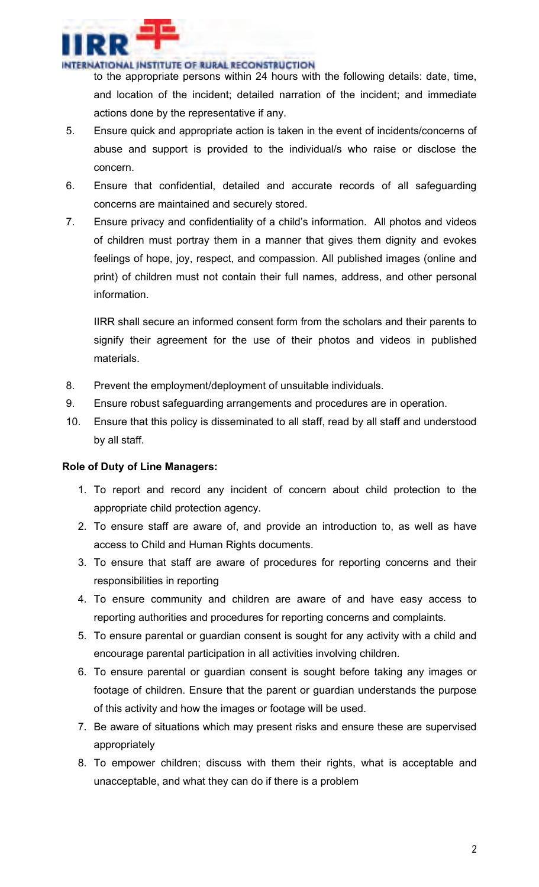

#### ERNATIONAL INSTITUTE OF RURAL RECONSTRUCTION

to the appropriate persons within 24 hours with the following details: date, time, and location of the incident; detailed narration of the incident; and immediate actions done by the representative if any.

- 5. Ensure quick and appropriate action is taken in the event of incidents/concerns of abuse and support is provided to the individual/s who raise or disclose the concern.
- 6. Ensure that confidential, detailed and accurate records of all safeguarding concerns are maintained and securely stored.
- 7. Ensure privacy and confidentiality of a child's information. All photos and videos of children must portray them in a manner that gives them dignity and evokes feelings of hope, joy, respect, and compassion. All published images (online and print) of children must not contain their full names, address, and other personal information.

IIRR shall secure an informed consent form from the scholars and their parents to signify their agreement for the use of their photos and videos in published materials.

- 8. Prevent the employment/deployment of unsuitable individuals.
- 9. Ensure robust safeguarding arrangements and procedures are in operation.
- 10. Ensure that this policy is disseminated to all staff, read by all staff and understood by all staff.

### **Role of Duty of Line Managers:**

- 1. To report and record any incident of concern about child protection to the appropriate child protection agency.
- 2. To ensure staff are aware of, and provide an introduction to, as well as have access to Child and Human Rights documents.
- 3. To ensure that staff are aware of procedures for reporting concerns and their responsibilities in reporting
- 4. To ensure community and children are aware of and have easy access to reporting authorities and procedures for reporting concerns and complaints.
- 5. To ensure parental or guardian consent is sought for any activity with a child and encourage parental participation in all activities involving children.
- 6. To ensure parental or guardian consent is sought before taking any images or footage of children. Ensure that the parent or guardian understands the purpose of this activity and how the images or footage will be used.
- 7. Be aware of situations which may present risks and ensure these are supervised appropriately
- 8. To empower children; discuss with them their rights, what is acceptable and unacceptable, and what they can do if there is a problem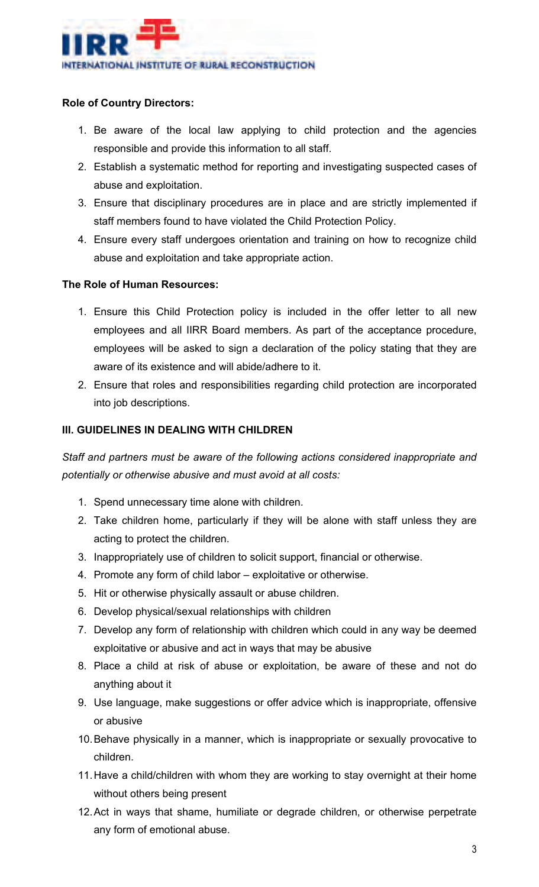

## **Role of Country Directors:**

- 1. Be aware of the local law applying to child protection and the agencies responsible and provide this information to all staff.
- 2. Establish a systematic method for reporting and investigating suspected cases of abuse and exploitation.
- 3. Ensure that disciplinary procedures are in place and are strictly implemented if staff members found to have violated the Child Protection Policy.
- 4. Ensure every staff undergoes orientation and training on how to recognize child abuse and exploitation and take appropriate action.

## **The Role of Human Resources:**

- 1. Ensure this Child Protection policy is included in the offer letter to all new employees and all IIRR Board members. As part of the acceptance procedure, employees will be asked to sign a declaration of the policy stating that they are aware of its existence and will abide/adhere to it.
- 2. Ensure that roles and responsibilities regarding child protection are incorporated into job descriptions.

### **III. GUIDELINES IN DEALING WITH CHILDREN**

*Staff and partners must be aware of the following actions considered inappropriate and potentially or otherwise abusive and must avoid at all costs:* 

- 1. Spend unnecessary time alone with children.
- 2. Take children home, particularly if they will be alone with staff unless they are acting to protect the children.
- 3. Inappropriately use of children to solicit support, financial or otherwise.
- 4. Promote any form of child labor exploitative or otherwise.
- 5. Hit or otherwise physically assault or abuse children.
- 6. Develop physical/sexual relationships with children
- 7. Develop any form of relationship with children which could in any way be deemed exploitative or abusive and act in ways that may be abusive
- 8. Place a child at risk of abuse or exploitation, be aware of these and not do anything about it
- 9. Use language, make suggestions or offer advice which is inappropriate, offensive or abusive
- 10.Behave physically in a manner, which is inappropriate or sexually provocative to children.
- 11.Have a child/children with whom they are working to stay overnight at their home without others being present
- 12.Act in ways that shame, humiliate or degrade children, or otherwise perpetrate any form of emotional abuse.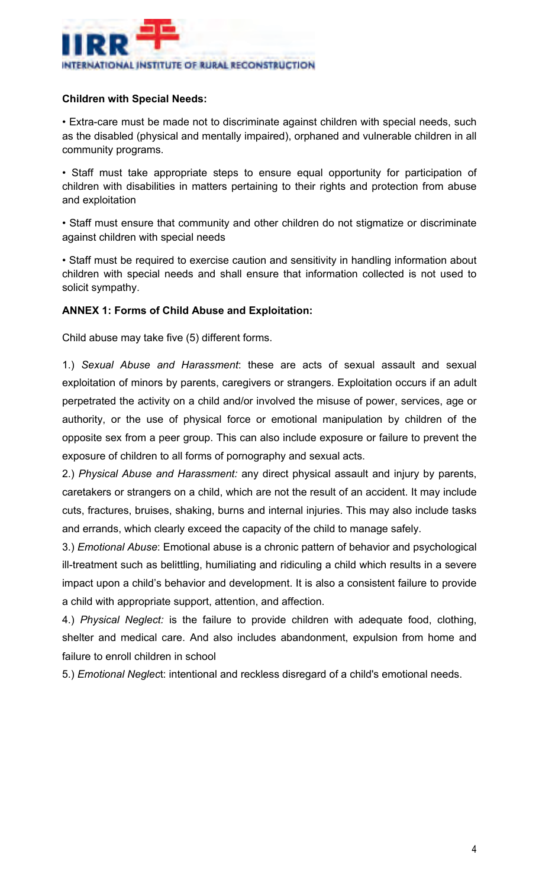

## **Children with Special Needs:**

• Extra-care must be made not to discriminate against children with special needs, such as the disabled (physical and mentally impaired), orphaned and vulnerable children in all community programs.

• Staff must take appropriate steps to ensure equal opportunity for participation of children with disabilities in matters pertaining to their rights and protection from abuse and exploitation

• Staff must ensure that community and other children do not stigmatize or discriminate against children with special needs

• Staff must be required to exercise caution and sensitivity in handling information about children with special needs and shall ensure that information collected is not used to solicit sympathy.

### **ANNEX 1: Forms of Child Abuse and Exploitation:**

Child abuse may take five (5) different forms.

1.) *Sexual Abuse and Harassment*: these are acts of sexual assault and sexual exploitation of minors by parents, caregivers or strangers. Exploitation occurs if an adult perpetrated the activity on a child and/or involved the misuse of power, services, age or authority, or the use of physical force or emotional manipulation by children of the opposite sex from a peer group. This can also include exposure or failure to prevent the exposure of children to all forms of pornography and sexual acts.

2.) *Physical Abuse and Harassment:* any direct physical assault and injury by parents, caretakers or strangers on a child, which are not the result of an accident. It may include cuts, fractures, bruises, shaking, burns and internal injuries. This may also include tasks and errands, which clearly exceed the capacity of the child to manage safely.

3.) *Emotional Abuse*: Emotional abuse is a chronic pattern of behavior and psychological ill-treatment such as belittling, humiliating and ridiculing a child which results in a severe impact upon a child's behavior and development. It is also a consistent failure to provide a child with appropriate support, attention, and affection.

4.) *Physical Neglect:* is the failure to provide children with adequate food, clothing, shelter and medical care. And also includes abandonment, expulsion from home and failure to enroll children in school

5.) *Emotional Neglec*t: intentional and reckless disregard of a child's emotional needs.